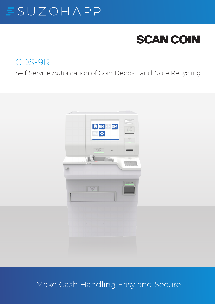### SUZOHAPP E

# **SCAN COIN**

# CDS-9R

Self-Service Automation of Coin Deposit and Note Recycling



# Make Cash Handling Easy and Secure